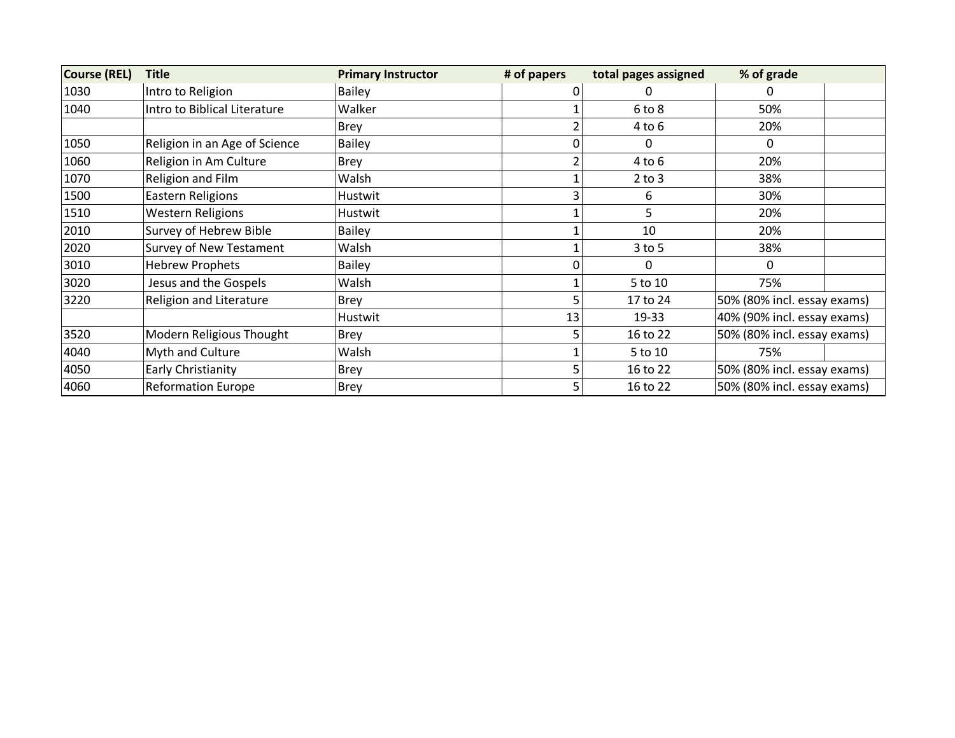| <b>Course (REL)</b> | <b>Title</b>                   | <b>Primary Instructor</b> | # of papers | total pages assigned | % of grade                  |  |
|---------------------|--------------------------------|---------------------------|-------------|----------------------|-----------------------------|--|
| 1030                | Intro to Religion              | Bailey                    |             | 0                    | $\mathbf 0$                 |  |
| 1040                | Intro to Biblical Literature   | Walker                    |             | 6 to 8               | 50%                         |  |
|                     |                                | <b>Brey</b>               |             | $4$ to $6$           | 20%                         |  |
| 1050                | Religion in an Age of Science  | <b>Bailey</b>             |             | 0                    | 0                           |  |
| 1060                | Religion in Am Culture         | Brey                      |             | $4$ to $6$           | 20%                         |  |
| 1070                | Religion and Film              | Walsh                     |             | $2$ to $3$           | 38%                         |  |
| 1500                | <b>Eastern Religions</b>       | Hustwit                   |             | 6                    | 30%                         |  |
| 1510                | <b>Western Religions</b>       | Hustwit                   |             | 5                    | 20%                         |  |
| 2010                | Survey of Hebrew Bible         | <b>Bailey</b>             |             | 10                   | 20%                         |  |
| 2020                | <b>Survey of New Testament</b> | Walsh                     |             | $3$ to 5             | 38%                         |  |
| 3010                | <b>Hebrew Prophets</b>         | Bailey                    |             | $\Omega$             | $\mathbf{0}$                |  |
| 3020                | Jesus and the Gospels          | Walsh                     |             | 5 to 10              | 75%                         |  |
| 3220                | <b>Religion and Literature</b> | <b>Brey</b>               |             | 17 to 24             | 50% (80% incl. essay exams) |  |
|                     |                                | Hustwit                   | 13          | 19-33                | 40% (90% incl. essay exams) |  |
| 3520                | Modern Religious Thought       | Brey                      |             | 16 to 22             | 50% (80% incl. essay exams) |  |
| 4040                | Myth and Culture               | Walsh                     |             | 5 to 10              | 75%                         |  |
| 4050                | Early Christianity             | Brey                      |             | 16 to 22             | 50% (80% incl. essay exams) |  |
| 4060                | <b>Reformation Europe</b>      | Brey                      |             | 16 to 22             | 50% (80% incl. essay exams) |  |